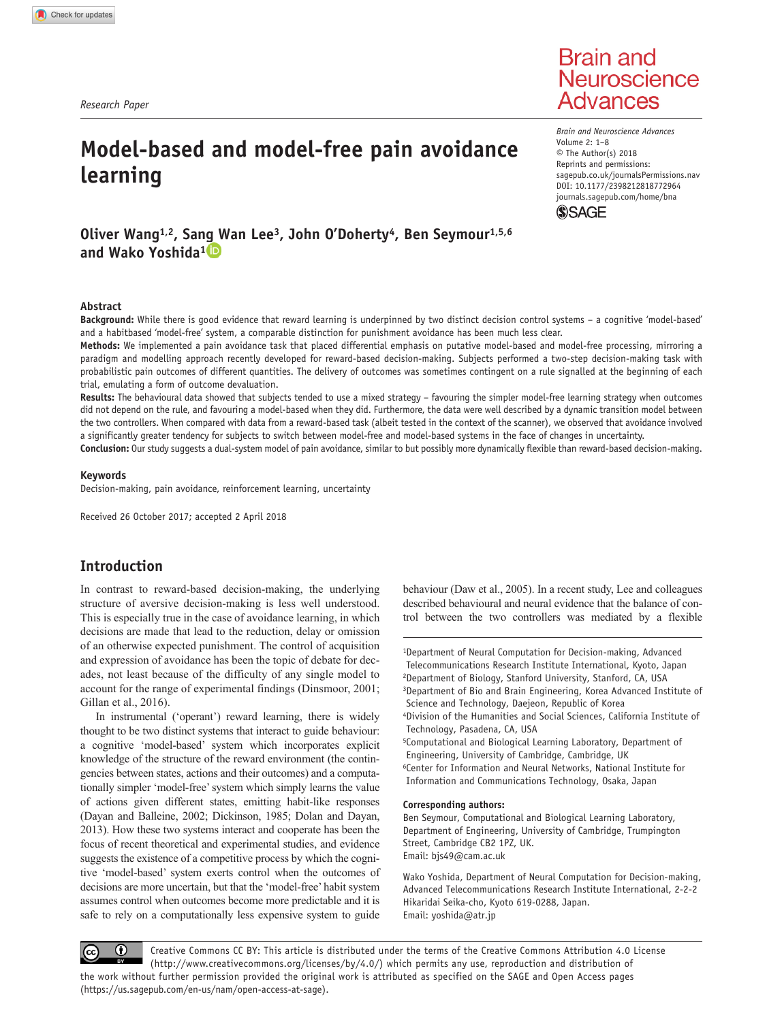*Research Paper*

# **Model-based and model-free pain avoidance learning**

## **Brain and** Neuroscience **Advances**

DOI: 10.1177/2398212818772964 *Brain and Neuroscience Advances* Volume 2: 1–8 © The Author(s) 2018 Reprints and permissions: [sagepub.co.uk/journalsPermissions.nav](https://uk.sagepub.com/en-gb/journals-permissions) [journals.sagepub.com/home/](https://journals.sagepub.com/home/bna)bna



**Oliver Wang1,2, Sang Wan Lee3, John O'Doherty4, Ben Seymour1,5,6 and Wako Yoshida1**

#### **Abstract**

**Background:** While there is good evidence that reward learning is underpinned by two distinct decision control systems – a cognitive 'model-based' and a habitbased 'model-free' system, a comparable distinction for punishment avoidance has been much less clear.

**Methods:** We implemented a pain avoidance task that placed differential emphasis on putative model-based and model-free processing, mirroring a paradigm and modelling approach recently developed for reward-based decision-making. Subjects performed a two-step decision-making task with probabilistic pain outcomes of different quantities. The delivery of outcomes was sometimes contingent on a rule signalled at the beginning of each trial, emulating a form of outcome devaluation.

**Results:** The behavioural data showed that subjects tended to use a mixed strategy – favouring the simpler model-free learning strategy when outcomes did not depend on the rule, and favouring a model-based when they did. Furthermore, the data were well described by a dynamic transition model between the two controllers. When compared with data from a reward-based task (albeit tested in the context of the scanner), we observed that avoidance involved a significantly greater tendency for subjects to switch between model-free and model-based systems in the face of changes in uncertainty.

**Conclusion:** Our study suggests a dual-system model of pain avoidance, similar to but possibly more dynamically flexible than reward-based decision-making.

#### **Keywords**

Decision-making, pain avoidance, reinforcement learning, uncertainty

Received 26 October 2017; accepted 2 April 2018

## **Introduction**

In contrast to reward-based decision-making, the underlying structure of aversive decision-making is less well understood. This is especially true in the case of avoidance learning, in which decisions are made that lead to the reduction, delay or omission of an otherwise expected punishment. The control of acquisition and expression of avoidance has been the topic of debate for decades, not least because of the difficulty of any single model to account for the range of experimental findings (Dinsmoor, 2001; Gillan et al., 2016).

In instrumental ('operant') reward learning, there is widely thought to be two distinct systems that interact to guide behaviour: a cognitive 'model-based' system which incorporates explicit knowledge of the structure of the reward environment (the contingencies between states, actions and their outcomes) and a computationally simpler 'model-free' system which simply learns the value of actions given different states, emitting habit-like responses (Dayan and Balleine, 2002; Dickinson, 1985; Dolan and Dayan, 2013). How these two systems interact and cooperate has been the focus of recent theoretical and experimental studies, and evidence suggests the existence of a competitive process by which the cognitive 'model-based' system exerts control when the outcomes of decisions are more uncertain, but that the 'model-free' habit system assumes control when outcomes become more predictable and it is safe to rely on a computationally less expensive system to guide

behaviour (Daw et al., 2005). In a recent study, Lee and colleagues described behavioural and neural evidence that the balance of control between the two controllers was mediated by a flexible

1Department of Neural Computation for Decision-making, Advanced Telecommunications Research Institute International, Kyoto, Japan 2Department of Biology, Stanford University, Stanford, CA, USA 3Department of Bio and Brain Engineering, Korea Advanced Institute of Science and Technology, Daejeon, Republic of Korea

4Division of the Humanities and Social Sciences, California Institute of Technology, Pasadena, CA, USA

5Computational and Biological Learning Laboratory, Department of Engineering, University of Cambridge, Cambridge, UK

6Center for Information and Neural Networks, National Institute for Information and Communications Technology, Osaka, Japan

#### **Corresponding authors:**

Ben Seymour, Computational and Biological Learning Laboratory, Department of Engineering, University of Cambridge, Trumpington Street, Cambridge CB2 1PZ, UK. Email: [bjs49@cam.ac.uk](mailto:bjs49@cam.ac.uk)

Wako Yoshida, Department of Neural Computation for Decision-making, Advanced Telecommunications Research Institute International, 2-2-2 Hikaridai Seika-cho, Kyoto 619-0288, Japan. Email: [yoshida@atr.jp](mailto:yoshida@atr.jp)

 $\odot$ Creative Commons CC BY: This article is distributed under the terms of the Creative Commons Attribution 4.0 License (http://www.creativecommons.org/licenses/by/4.0/) which permits any use, reproduction and distribution of the work without further permission provided the original work is attributed as specified on the SAGE and Open Access pages (https://us.sagepub.com/en-us/nam/open-access-at-sage).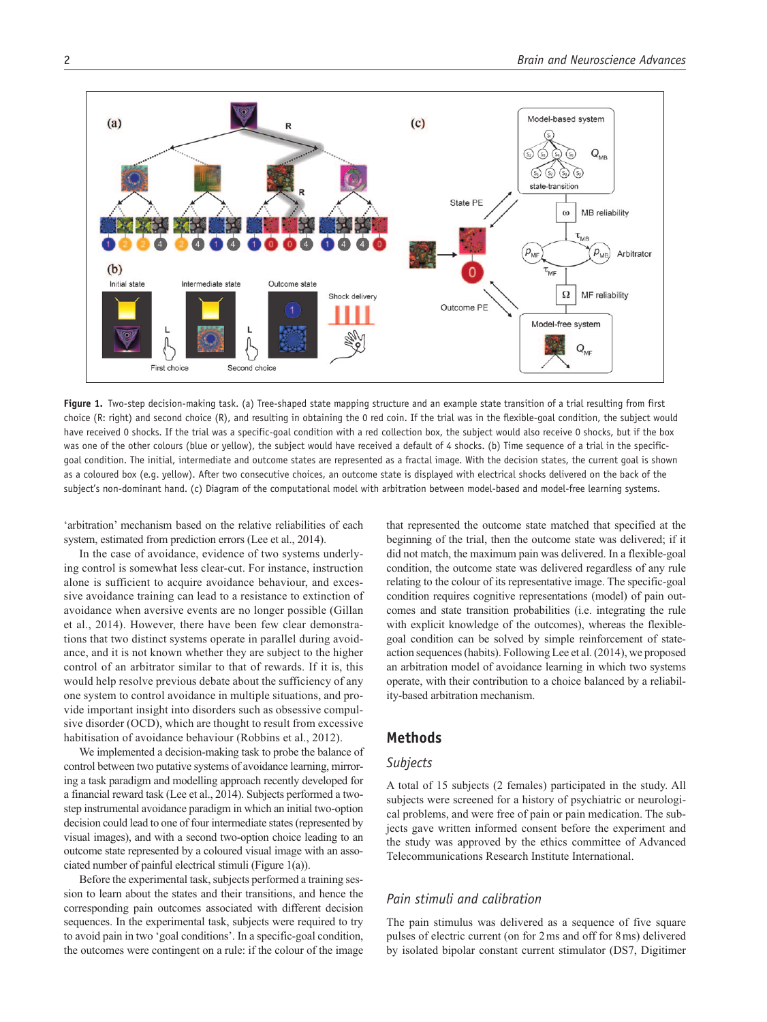

**Figure 1.** Two-step decision-making task. (a) Tree-shaped state mapping structure and an example state transition of a trial resulting from first choice (R: right) and second choice (R), and resulting in obtaining the 0 red coin. If the trial was in the flexible-goal condition, the subject would have received 0 shocks. If the trial was a specific-goal condition with a red collection box, the subject would also receive 0 shocks, but if the box was one of the other colours (blue or yellow), the subject would have received a default of 4 shocks. (b) Time sequence of a trial in the specificgoal condition. The initial, intermediate and outcome states are represented as a fractal image. With the decision states, the current goal is shown as a coloured box (e.g. yellow). After two consecutive choices, an outcome state is displayed with electrical shocks delivered on the back of the subject's non-dominant hand. (c) Diagram of the computational model with arbitration between model-based and model-free learning systems.

'arbitration' mechanism based on the relative reliabilities of each system, estimated from prediction errors (Lee et al., 2014).

In the case of avoidance, evidence of two systems underlying control is somewhat less clear-cut. For instance, instruction alone is sufficient to acquire avoidance behaviour, and excessive avoidance training can lead to a resistance to extinction of avoidance when aversive events are no longer possible (Gillan et al., 2014). However, there have been few clear demonstrations that two distinct systems operate in parallel during avoidance, and it is not known whether they are subject to the higher control of an arbitrator similar to that of rewards. If it is, this would help resolve previous debate about the sufficiency of any one system to control avoidance in multiple situations, and provide important insight into disorders such as obsessive compulsive disorder (OCD), which are thought to result from excessive habitisation of avoidance behaviour (Robbins et al., 2012).

We implemented a decision-making task to probe the balance of control between two putative systems of avoidance learning, mirroring a task paradigm and modelling approach recently developed for a financial reward task (Lee et al., 2014). Subjects performed a twostep instrumental avoidance paradigm in which an initial two-option decision could lead to one of four intermediate states (represented by visual images), and with a second two-option choice leading to an outcome state represented by a coloured visual image with an associated number of painful electrical stimuli (Figure 1(a)).

Before the experimental task, subjects performed a training session to learn about the states and their transitions, and hence the corresponding pain outcomes associated with different decision sequences. In the experimental task, subjects were required to try to avoid pain in two 'goal conditions'. In a specific-goal condition, the outcomes were contingent on a rule: if the colour of the image

that represented the outcome state matched that specified at the beginning of the trial, then the outcome state was delivered; if it did not match, the maximum pain was delivered. In a flexible-goal condition, the outcome state was delivered regardless of any rule relating to the colour of its representative image. The specific-goal condition requires cognitive representations (model) of pain outcomes and state transition probabilities (i.e. integrating the rule with explicit knowledge of the outcomes), whereas the flexiblegoal condition can be solved by simple reinforcement of stateaction sequences (habits). Following Lee et al. (2014), we proposed an arbitration model of avoidance learning in which two systems operate, with their contribution to a choice balanced by a reliability-based arbitration mechanism.

## **Methods**

#### *Subjects*

A total of 15 subjects (2 females) participated in the study. All subjects were screened for a history of psychiatric or neurological problems, and were free of pain or pain medication. The subjects gave written informed consent before the experiment and the study was approved by the ethics committee of Advanced Telecommunications Research Institute International.

#### *Pain stimuli and calibration*

The pain stimulus was delivered as a sequence of five square pulses of electric current (on for 2ms and off for 8ms) delivered by isolated bipolar constant current stimulator (DS7, Digitimer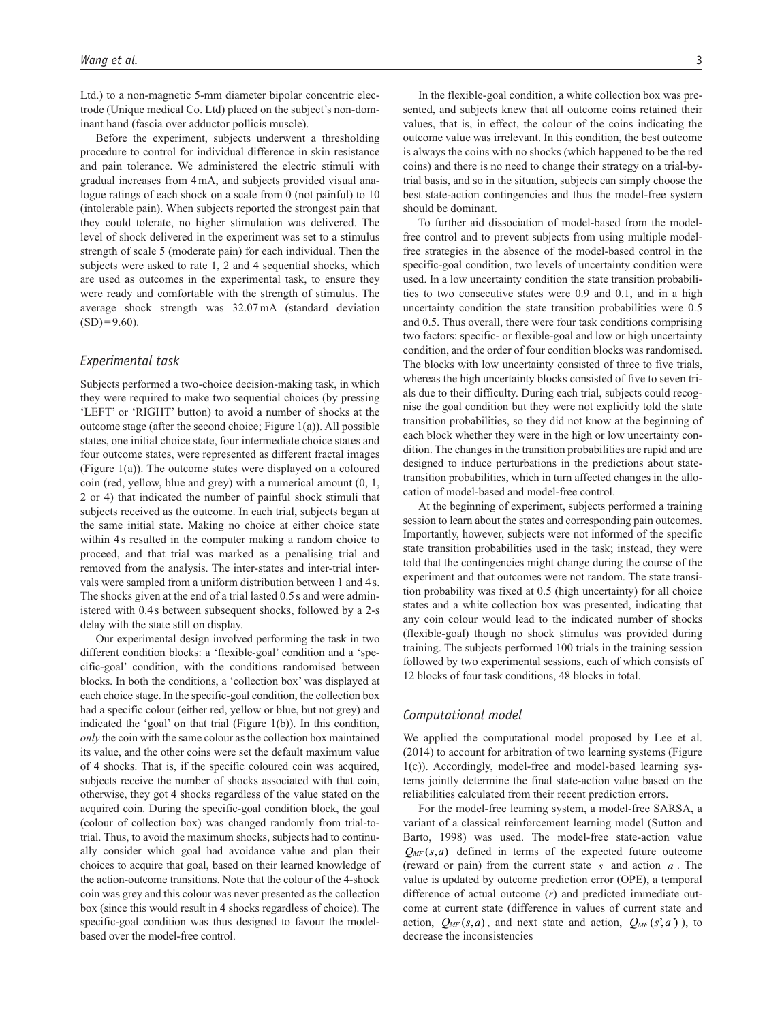Ltd.) to a non-magnetic 5-mm diameter bipolar concentric electrode (Unique medical Co. Ltd) placed on the subject's non-dominant hand (fascia over adductor pollicis muscle).

Before the experiment, subjects underwent a thresholding procedure to control for individual difference in skin resistance and pain tolerance. We administered the electric stimuli with gradual increases from 4mA, and subjects provided visual analogue ratings of each shock on a scale from 0 (not painful) to 10 (intolerable pain). When subjects reported the strongest pain that they could tolerate, no higher stimulation was delivered. The level of shock delivered in the experiment was set to a stimulus strength of scale 5 (moderate pain) for each individual. Then the subjects were asked to rate 1, 2 and 4 sequential shocks, which are used as outcomes in the experimental task, to ensure they were ready and comfortable with the strength of stimulus. The average shock strength was 32.07mA (standard deviation  $(SD)=9.60$ ).

#### *Experimental task*

Subjects performed a two-choice decision-making task, in which they were required to make two sequential choices (by pressing 'LEFT' or 'RIGHT' button) to avoid a number of shocks at the outcome stage (after the second choice; Figure 1(a)). All possible states, one initial choice state, four intermediate choice states and four outcome states, were represented as different fractal images (Figure 1(a)). The outcome states were displayed on a coloured coin (red, yellow, blue and grey) with a numerical amount (0, 1, 2 or 4) that indicated the number of painful shock stimuli that subjects received as the outcome. In each trial, subjects began at the same initial state. Making no choice at either choice state within 4s resulted in the computer making a random choice to proceed, and that trial was marked as a penalising trial and removed from the analysis. The inter-states and inter-trial intervals were sampled from a uniform distribution between 1 and 4 s. The shocks given at the end of a trial lasted 0.5 s and were administered with 0.4 s between subsequent shocks, followed by a 2-s delay with the state still on display.

Our experimental design involved performing the task in two different condition blocks: a 'flexible-goal' condition and a 'specific-goal' condition, with the conditions randomised between blocks. In both the conditions, a 'collection box' was displayed at each choice stage. In the specific-goal condition, the collection box had a specific colour (either red, yellow or blue, but not grey) and indicated the 'goal' on that trial (Figure 1(b)). In this condition, *only* the coin with the same colour as the collection box maintained its value, and the other coins were set the default maximum value of 4 shocks. That is, if the specific coloured coin was acquired, subjects receive the number of shocks associated with that coin, otherwise, they got 4 shocks regardless of the value stated on the acquired coin. During the specific-goal condition block, the goal (colour of collection box) was changed randomly from trial-totrial. Thus, to avoid the maximum shocks, subjects had to continually consider which goal had avoidance value and plan their choices to acquire that goal, based on their learned knowledge of the action-outcome transitions. Note that the colour of the 4-shock coin was grey and this colour was never presented as the collection box (since this would result in 4 shocks regardless of choice). The specific-goal condition was thus designed to favour the modelbased over the model-free control.

In the flexible-goal condition, a white collection box was presented, and subjects knew that all outcome coins retained their values, that is, in effect, the colour of the coins indicating the outcome value was irrelevant. In this condition, the best outcome is always the coins with no shocks (which happened to be the red coins) and there is no need to change their strategy on a trial-bytrial basis, and so in the situation, subjects can simply choose the best state-action contingencies and thus the model-free system should be dominant.

To further aid dissociation of model-based from the modelfree control and to prevent subjects from using multiple modelfree strategies in the absence of the model-based control in the specific-goal condition, two levels of uncertainty condition were used. In a low uncertainty condition the state transition probabilities to two consecutive states were 0.9 and 0.1, and in a high uncertainty condition the state transition probabilities were 0.5 and 0.5. Thus overall, there were four task conditions comprising two factors: specific- or flexible-goal and low or high uncertainty condition, and the order of four condition blocks was randomised. The blocks with low uncertainty consisted of three to five trials, whereas the high uncertainty blocks consisted of five to seven trials due to their difficulty. During each trial, subjects could recognise the goal condition but they were not explicitly told the state transition probabilities, so they did not know at the beginning of each block whether they were in the high or low uncertainty condition. The changes in the transition probabilities are rapid and are designed to induce perturbations in the predictions about statetransition probabilities, which in turn affected changes in the allocation of model-based and model-free control.

At the beginning of experiment, subjects performed a training session to learn about the states and corresponding pain outcomes. Importantly, however, subjects were not informed of the specific state transition probabilities used in the task; instead, they were told that the contingencies might change during the course of the experiment and that outcomes were not random. The state transition probability was fixed at 0.5 (high uncertainty) for all choice states and a white collection box was presented, indicating that any coin colour would lead to the indicated number of shocks (flexible-goal) though no shock stimulus was provided during training. The subjects performed 100 trials in the training session followed by two experimental sessions, each of which consists of 12 blocks of four task conditions, 48 blocks in total.

#### *Computational model*

We applied the computational model proposed by Lee et al. (2014) to account for arbitration of two learning systems (Figure 1(c)). Accordingly, model-free and model-based learning systems jointly determine the final state-action value based on the reliabilities calculated from their recent prediction errors.

For the model-free learning system, a model-free SARSA, a variant of a classical reinforcement learning model (Sutton and Barto, 1998) was used. The model-free state-action value  $Q_{MF}(s, a)$  defined in terms of the expected future outcome (reward or pain) from the current state *s* and action *a* . The value is updated by outcome prediction error (OPE), a temporal difference of actual outcome (*r*) and predicted immediate outcome at current state (difference in values of current state and action,  $Q_{MF}(s, a)$ , and next state and action,  $Q_{MF}(s, a)$ , to decrease the inconsistencies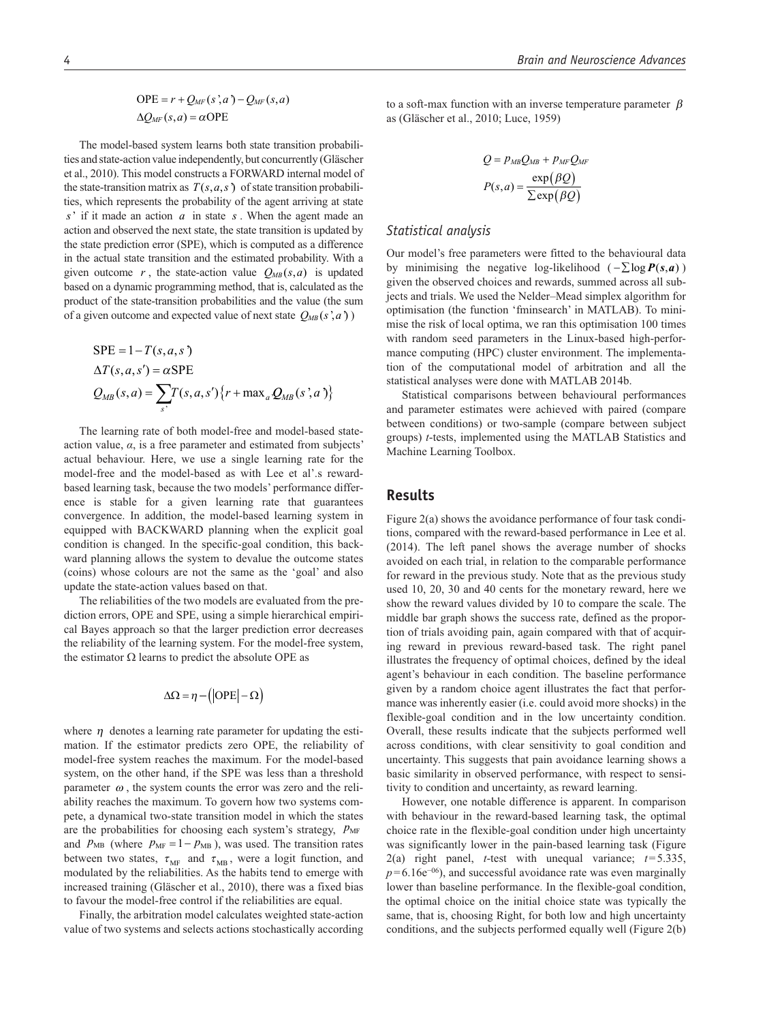$OPE = r + Q_{MF}(s^*, a^*) - Q_{MF}(s, a)$  $\Delta Q_{MF}(s,a) = \alpha$ OPE

The model-based system learns both state transition probabilities and state-action value independently, but concurrently (Gläscher et al., 2010). This model constructs a FORWARD internal model of the state-transition matrix as  $T(s, a, s')$  of state transition probabilities, which represents the probability of the agent arriving at state *s*' if it made an action *a* in state *s* . When the agent made an action and observed the next state, the state transition is updated by the state prediction error (SPE), which is computed as a difference in the actual state transition and the estimated probability. With a given outcome  $r$ , the state-action value  $Q_{MB}(s, a)$  is updated based on a dynamic programming method, that is, calculated as the product of the state-transition probabilities and the value (the sum of a given outcome and expected value of next state  $Q_{MB}(s',a')$ 

$$
SPE = 1 - T(s, a, s')
$$
  
\n
$$
\Delta T(s, a, s') = \alpha SPE
$$
  
\n
$$
Q_{MB}(s, a) = \sum_{s'} T(s, a, s') \{r + \max_{a} Q_{MB}(s', a')\}
$$

The learning rate of both model-free and model-based stateaction value,  $\alpha$ , is a free parameter and estimated from subjects' actual behaviour. Here, we use a single learning rate for the model-free and the model-based as with Lee et al'.s rewardbased learning task, because the two models' performance difference is stable for a given learning rate that guarantees convergence. In addition, the model-based learning system in equipped with BACKWARD planning when the explicit goal condition is changed. In the specific-goal condition, this backward planning allows the system to devalue the outcome states (coins) whose colours are not the same as the 'goal' and also update the state-action values based on that.

The reliabilities of the two models are evaluated from the prediction errors, OPE and SPE, using a simple hierarchical empirical Bayes approach so that the larger prediction error decreases the reliability of the learning system. For the model-free system, the estimator  $Ω$  learns to predict the absolute OPE as

$$
\Delta\Omega = \eta - (|\text{OPE}| - \Omega)
$$

where  $\eta$  denotes a learning rate parameter for updating the estimation. If the estimator predicts zero OPE, the reliability of model-free system reaches the maximum. For the model-based system, on the other hand, if the SPE was less than a threshold parameter  $\omega$ , the system counts the error was zero and the reliability reaches the maximum. To govern how two systems compete, a dynamical two-state transition model in which the states are the probabilities for choosing each system's strategy,  $p_{MF}$ and  $p_{MB}$  (where  $p_{MF} = 1 - p_{MB}$ ), was used. The transition rates between two states,  $\tau_{MF}$  and  $\tau_{MB}$ , were a logit function, and modulated by the reliabilities. As the habits tend to emerge with increased training (Gläscher et al., 2010), there was a fixed bias to favour the model-free control if the reliabilities are equal.

Finally, the arbitration model calculates weighted state-action value of two systems and selects actions stochastically according to a soft-max function with an inverse temperature parameter  $\beta$ as (Gläscher et al., 2010; Luce, 1959)

$$
Q = p_{MB}Q_{MB} + p_{MF}Q_{MF}
$$

$$
P(s, a) = \frac{\exp(\beta Q)}{\sum \exp(\beta Q)}
$$

#### *Statistical analysis*

Our model's free parameters were fitted to the behavioural data by minimising the negative log-likelihood ( $-\sum \log P(s, a)$ ) given the observed choices and rewards, summed across all subjects and trials. We used the Nelder–Mead simplex algorithm for optimisation (the function 'fminsearch' in MATLAB). To minimise the risk of local optima, we ran this optimisation 100 times with random seed parameters in the Linux-based high-performance computing (HPC) cluster environment. The implementation of the computational model of arbitration and all the statistical analyses were done with MATLAB 2014b.

Statistical comparisons between behavioural performances and parameter estimates were achieved with paired (compare between conditions) or two-sample (compare between subject groups) *t*-tests, implemented using the MATLAB Statistics and Machine Learning Toolbox.

### **Results**

Figure 2(a) shows the avoidance performance of four task conditions, compared with the reward-based performance in Lee et al. (2014). The left panel shows the average number of shocks avoided on each trial, in relation to the comparable performance for reward in the previous study. Note that as the previous study used 10, 20, 30 and 40 cents for the monetary reward, here we show the reward values divided by 10 to compare the scale. The middle bar graph shows the success rate, defined as the proportion of trials avoiding pain, again compared with that of acquiring reward in previous reward-based task. The right panel illustrates the frequency of optimal choices, defined by the ideal agent's behaviour in each condition. The baseline performance given by a random choice agent illustrates the fact that performance was inherently easier (i.e. could avoid more shocks) in the flexible-goal condition and in the low uncertainty condition. Overall, these results indicate that the subjects performed well across conditions, with clear sensitivity to goal condition and uncertainty. This suggests that pain avoidance learning shows a basic similarity in observed performance, with respect to sensitivity to condition and uncertainty, as reward learning.

However, one notable difference is apparent. In comparison with behaviour in the reward-based learning task, the optimal choice rate in the flexible-goal condition under high uncertainty was significantly lower in the pain-based learning task (Figure 2(a) right panel, *t*-test with unequal variance; *t*=5.335, *p*=6.16e<sup>−06</sup>), and successful avoidance rate was even marginally lower than baseline performance. In the flexible-goal condition, the optimal choice on the initial choice state was typically the same, that is, choosing Right, for both low and high uncertainty conditions, and the subjects performed equally well (Figure 2(b)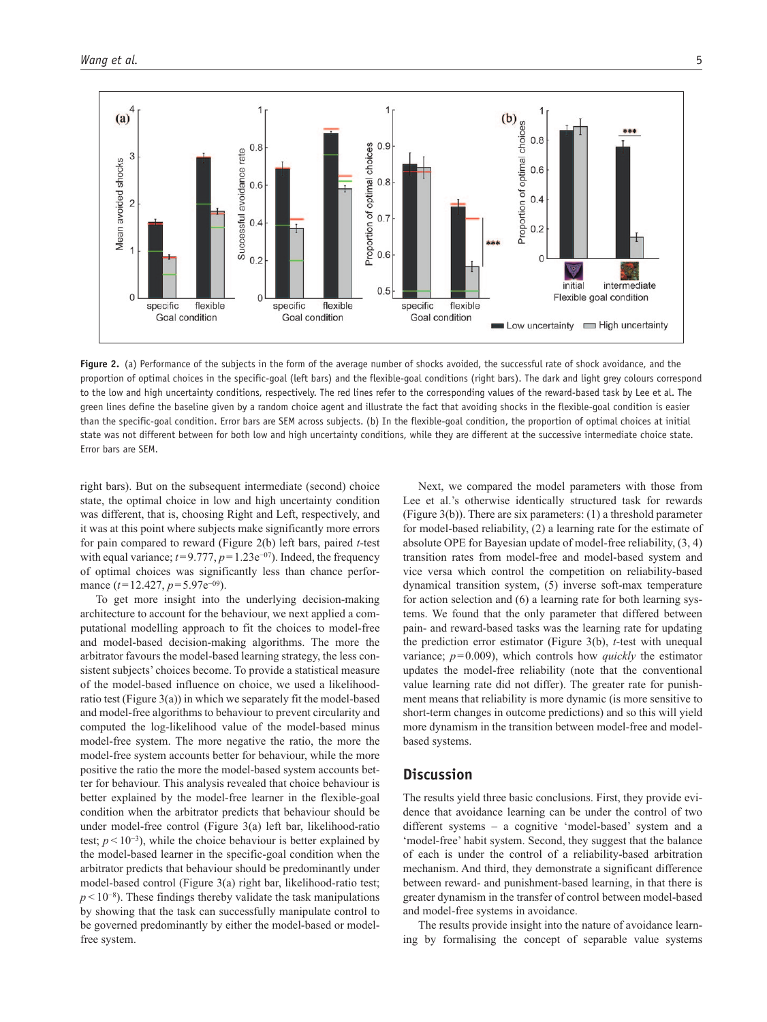

Figure 2. (a) Performance of the subjects in the form of the average number of shocks avoided, the successful rate of shock avoidance, and the proportion of optimal choices in the specific-goal (left bars) and the flexible-goal conditions (right bars). The dark and light grey colours correspond to the low and high uncertainty conditions, respectively. The red lines refer to the corresponding values of the reward-based task by Lee et al. The green lines define the baseline given by a random choice agent and illustrate the fact that avoiding shocks in the flexible-goal condition is easier than the specific-goal condition. Error bars are SEM across subjects. (b) In the flexible-goal condition, the proportion of optimal choices at initial state was not different between for both low and high uncertainty conditions, while they are different at the successive intermediate choice state. Error bars are SEM.

right bars). But on the subsequent intermediate (second) choice state, the optimal choice in low and high uncertainty condition was different, that is, choosing Right and Left, respectively, and it was at this point where subjects make significantly more errors for pain compared to reward (Figure 2(b) left bars, paired *t*-test with equal variance; *t*=9.777, *p*=1.23e−07). Indeed, the frequency of optimal choices was significantly less than chance performance (*t*=12.427, *p*=5.97e−09).

To get more insight into the underlying decision-making architecture to account for the behaviour, we next applied a computational modelling approach to fit the choices to model-free and model-based decision-making algorithms. The more the arbitrator favours the model-based learning strategy, the less consistent subjects' choices become. To provide a statistical measure of the model-based influence on choice, we used a likelihoodratio test (Figure  $3(a)$ ) in which we separately fit the model-based and model-free algorithms to behaviour to prevent circularity and computed the log-likelihood value of the model-based minus model-free system. The more negative the ratio, the more the model-free system accounts better for behaviour, while the more positive the ratio the more the model-based system accounts better for behaviour. This analysis revealed that choice behaviour is better explained by the model-free learner in the flexible-goal condition when the arbitrator predicts that behaviour should be under model-free control (Figure 3(a) left bar, likelihood-ratio test;  $p$ <10<sup>-3</sup>), while the choice behaviour is better explained by the model-based learner in the specific-goal condition when the arbitrator predicts that behaviour should be predominantly under model-based control (Figure 3(a) right bar, likelihood-ratio test; *p* < 10<sup>−8</sup>). These findings thereby validate the task manipulations by showing that the task can successfully manipulate control to be governed predominantly by either the model-based or modelfree system.

Next, we compared the model parameters with those from Lee et al.'s otherwise identically structured task for rewards (Figure 3(b)). There are six parameters: (1) a threshold parameter for model-based reliability, (2) a learning rate for the estimate of absolute OPE for Bayesian update of model-free reliability, (3, 4) transition rates from model-free and model-based system and vice versa which control the competition on reliability-based dynamical transition system, (5) inverse soft-max temperature for action selection and (6) a learning rate for both learning systems. We found that the only parameter that differed between pain- and reward-based tasks was the learning rate for updating the prediction error estimator (Figure 3(b), *t*-test with unequal variance; *p*=0.009), which controls how *quickly* the estimator updates the model-free reliability (note that the conventional value learning rate did not differ). The greater rate for punishment means that reliability is more dynamic (is more sensitive to short-term changes in outcome predictions) and so this will yield more dynamism in the transition between model-free and modelbased systems.

## **Discussion**

The results yield three basic conclusions. First, they provide evidence that avoidance learning can be under the control of two different systems – a cognitive 'model-based' system and a 'model-free' habit system. Second, they suggest that the balance of each is under the control of a reliability-based arbitration mechanism. And third, they demonstrate a significant difference between reward- and punishment-based learning, in that there is greater dynamism in the transfer of control between model-based and model-free systems in avoidance.

The results provide insight into the nature of avoidance learning by formalising the concept of separable value systems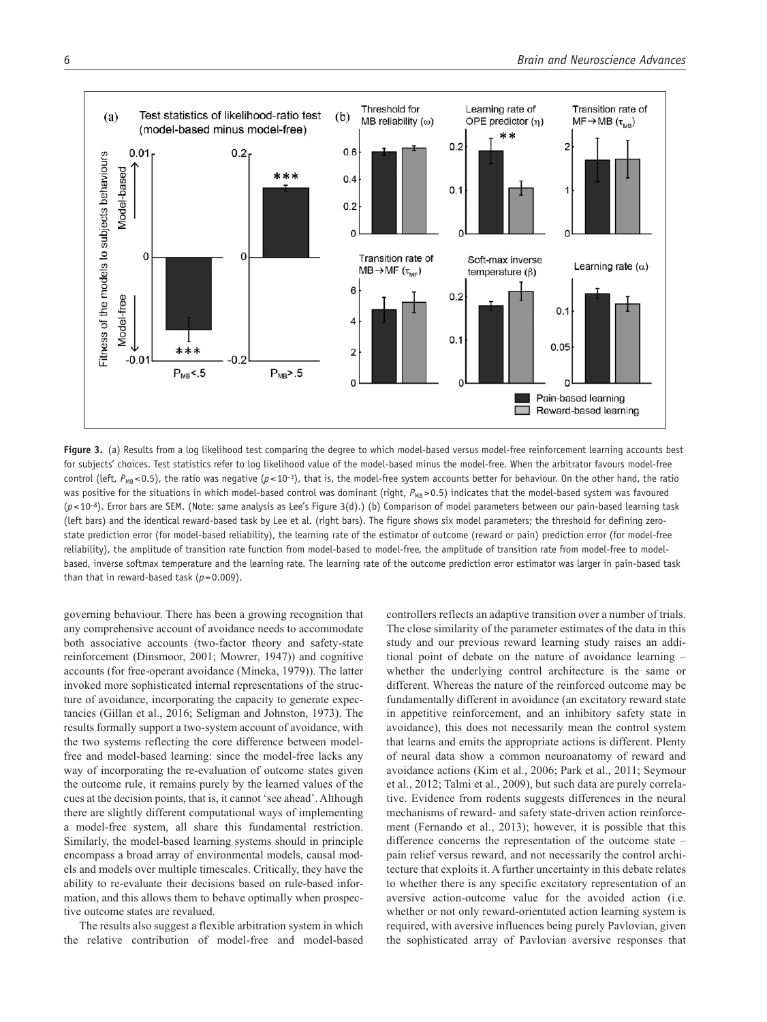

Figure 3. (a) Results from a log likelihood test comparing the degree to which model-based versus model-free reinforcement learning accounts best for subjects' choices. Test statistics refer to log likelihood value of the model-based minus the model-free. When the arbitrator favours model-free control (left,  $P_{MB}$  < 0.5), the ratio was negative ( $p$  < 10<sup>-3</sup>), that is, the model-free system accounts better for behaviour. On the other hand, the ratio was positive for the situations in which model-based control was dominant (right,  $P_{MB}$  >0.5) indicates that the model-based system was favoured (*p <*10−8). Error bars are SEM. (Note: same analysis as Lee's Figure 3(d).) (b) Comparison of model parameters between our pain-based learning task (left bars) and the identical reward-based task by Lee et al. (right bars). The figure shows six model parameters; the threshold for defining zerostate prediction error (for model-based reliability), the learning rate of the estimator of outcome (reward or pain) prediction error (for model-free reliability), the amplitude of transition rate function from model-based to model-free, the amplitude of transition rate from model-free to modelbased, inverse softmax temperature and the learning rate. The learning rate of the outcome prediction error estimator was larger in pain-based task than that in reward-based task  $(p=0.009)$ .

governing behaviour. There has been a growing recognition that any comprehensive account of avoidance needs to accommodate both associative accounts (two-factor theory and safety-state reinforcement (Dinsmoor, 2001; Mowrer, 1947)) and cognitive accounts (for free-operant avoidance (Mineka, 1979)). The latter invoked more sophisticated internal representations of the structure of avoidance, incorporating the capacity to generate expectancies (Gillan et al., 2016; Seligman and Johnston, 1973). The results formally support a two-system account of avoidance, with the two systems reflecting the core difference between modelfree and model-based learning: since the model-free lacks any way of incorporating the re-evaluation of outcome states given the outcome rule, it remains purely by the learned values of the cues at the decision points, that is, it cannot 'see ahead'. Although there are slightly different computational ways of implementing a model-free system, all share this fundamental restriction. Similarly, the model-based learning systems should in principle encompass a broad array of environmental models, causal models and models over multiple timescales. Critically, they have the ability to re-evaluate their decisions based on rule-based information, and this allows them to behave optimally when prospective outcome states are revalued.

The results also suggest a flexible arbitration system in which the relative contribution of model-free and model-based

controllers reflects an adaptive transition over a number of trials. The close similarity of the parameter estimates of the data in this study and our previous reward learning study raises an additional point of debate on the nature of avoidance learning – whether the underlying control architecture is the same or different. Whereas the nature of the reinforced outcome may be fundamentally different in avoidance (an excitatory reward state in appetitive reinforcement, and an inhibitory safety state in avoidance), this does not necessarily mean the control system that learns and emits the appropriate actions is different. Plenty of neural data show a common neuroanatomy of reward and avoidance actions (Kim et al., 2006; Park et al., 2011; Seymour et al., 2012; Talmi et al., 2009), but such data are purely correlative. Evidence from rodents suggests differences in the neural mechanisms of reward- and safety state-driven action reinforcement (Fernando et al., 2013); however, it is possible that this difference concerns the representation of the outcome state – pain relief versus reward, and not necessarily the control architecture that exploits it. A further uncertainty in this debate relates to whether there is any specific excitatory representation of an aversive action-outcome value for the avoided action (i.e. whether or not only reward-orientated action learning system is required, with aversive influences being purely Pavlovian, given the sophisticated array of Pavlovian aversive responses that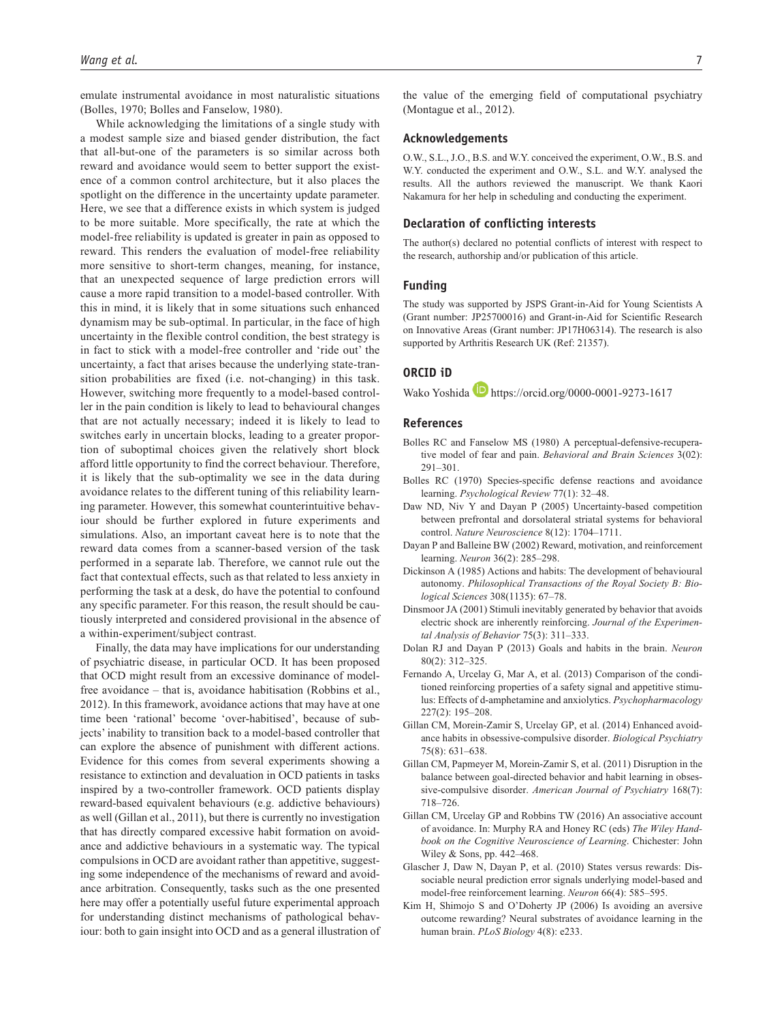emulate instrumental avoidance in most naturalistic situations (Bolles, 1970; Bolles and Fanselow, 1980).

While acknowledging the limitations of a single study with a modest sample size and biased gender distribution, the fact that all-but-one of the parameters is so similar across both reward and avoidance would seem to better support the existence of a common control architecture, but it also places the spotlight on the difference in the uncertainty update parameter. Here, we see that a difference exists in which system is judged to be more suitable. More specifically, the rate at which the model-free reliability is updated is greater in pain as opposed to reward. This renders the evaluation of model-free reliability more sensitive to short-term changes, meaning, for instance, that an unexpected sequence of large prediction errors will cause a more rapid transition to a model-based controller. With this in mind, it is likely that in some situations such enhanced dynamism may be sub-optimal. In particular, in the face of high uncertainty in the flexible control condition, the best strategy is in fact to stick with a model-free controller and 'ride out' the uncertainty, a fact that arises because the underlying state-transition probabilities are fixed (i.e. not-changing) in this task. However, switching more frequently to a model-based controller in the pain condition is likely to lead to behavioural changes that are not actually necessary; indeed it is likely to lead to switches early in uncertain blocks, leading to a greater proportion of suboptimal choices given the relatively short block afford little opportunity to find the correct behaviour. Therefore, it is likely that the sub-optimality we see in the data during avoidance relates to the different tuning of this reliability learning parameter. However, this somewhat counterintuitive behaviour should be further explored in future experiments and simulations. Also, an important caveat here is to note that the reward data comes from a scanner-based version of the task performed in a separate lab. Therefore, we cannot rule out the fact that contextual effects, such as that related to less anxiety in performing the task at a desk, do have the potential to confound any specific parameter. For this reason, the result should be cautiously interpreted and considered provisional in the absence of a within-experiment/subject contrast.

Finally, the data may have implications for our understanding of psychiatric disease, in particular OCD. It has been proposed that OCD might result from an excessive dominance of modelfree avoidance – that is, avoidance habitisation (Robbins et al., 2012). In this framework, avoidance actions that may have at one time been 'rational' become 'over-habitised', because of subjects' inability to transition back to a model-based controller that can explore the absence of punishment with different actions. Evidence for this comes from several experiments showing a resistance to extinction and devaluation in OCD patients in tasks inspired by a two-controller framework. OCD patients display reward-based equivalent behaviours (e.g. addictive behaviours) as well (Gillan et al., 2011), but there is currently no investigation that has directly compared excessive habit formation on avoidance and addictive behaviours in a systematic way. The typical compulsions in OCD are avoidant rather than appetitive, suggesting some independence of the mechanisms of reward and avoidance arbitration. Consequently, tasks such as the one presented here may offer a potentially useful future experimental approach for understanding distinct mechanisms of pathological behaviour: both to gain insight into OCD and as a general illustration of the value of the emerging field of computational psychiatry (Montague et al., 2012).

#### **Acknowledgements**

O.W., S.L., J.O., B.S. and W.Y. conceived the experiment, O.W., B.S. and W.Y. conducted the experiment and O.W., S.L. and W.Y. analysed the results. All the authors reviewed the manuscript. We thank Kaori Nakamura for her help in scheduling and conducting the experiment.

#### **Declaration of conflicting interests**

The author(s) declared no potential conflicts of interest with respect to the research, authorship and/or publication of this article.

#### **Funding**

The study was supported by JSPS Grant-in-Aid for Young Scientists A (Grant number: JP25700016) and Grant-in-Aid for Scientific Research on Innovative Areas (Grant number: JP17H06314). The research is also supported by Arthritis Research UK (Ref: 21357).

#### **ORCID iD**

Wako Yoshida D <https://orcid.org/0000-0001-9273-1617>

#### **References**

- Bolles RC and Fanselow MS (1980) A perceptual-defensive-recuperative model of fear and pain. *Behavioral and Brain Sciences* 3(02): 291–301.
- Bolles RC (1970) Species-specific defense reactions and avoidance learning. *Psychological Review* 77(1): 32–48.
- Daw ND, Niv Y and Dayan P (2005) Uncertainty-based competition between prefrontal and dorsolateral striatal systems for behavioral control. *Nature Neuroscience* 8(12): 1704–1711.
- Dayan P and Balleine BW (2002) Reward, motivation, and reinforcement learning. *Neuron* 36(2): 285–298.
- Dickinson A (1985) Actions and habits: The development of behavioural autonomy. *Philosophical Transactions of the Royal Society B: Biological Sciences* 308(1135): 67–78.
- Dinsmoor JA (2001) Stimuli inevitably generated by behavior that avoids electric shock are inherently reinforcing. *Journal of the Experimental Analysis of Behavior* 75(3): 311–333.
- Dolan RJ and Dayan P (2013) Goals and habits in the brain. *Neuron* 80(2): 312–325.
- Fernando A, Urcelay G, Mar A, et al. (2013) Comparison of the conditioned reinforcing properties of a safety signal and appetitive stimulus: Effects of d-amphetamine and anxiolytics. *Psychopharmacology* 227(2): 195–208.
- Gillan CM, Morein-Zamir S, Urcelay GP, et al. (2014) Enhanced avoidance habits in obsessive-compulsive disorder. *Biological Psychiatry* 75(8): 631–638.
- Gillan CM, Papmeyer M, Morein-Zamir S, et al. (2011) Disruption in the balance between goal-directed behavior and habit learning in obsessive-compulsive disorder. *American Journal of Psychiatry* 168(7): 718–726.
- Gillan CM, Urcelay GP and Robbins TW (2016) An associative account of avoidance. In: Murphy RA and Honey RC (eds) *The Wiley Handbook on the Cognitive Neuroscience of Learning*. Chichester: John Wiley & Sons, pp. 442–468.
- Glascher J, Daw N, Dayan P, et al. (2010) States versus rewards: Dissociable neural prediction error signals underlying model-based and model-free reinforcement learning. *Neuron* 66(4): 585–595.
- Kim H, Shimojo S and O'Doherty JP (2006) Is avoiding an aversive outcome rewarding? Neural substrates of avoidance learning in the human brain. *PLoS Biology* 4(8): e233.